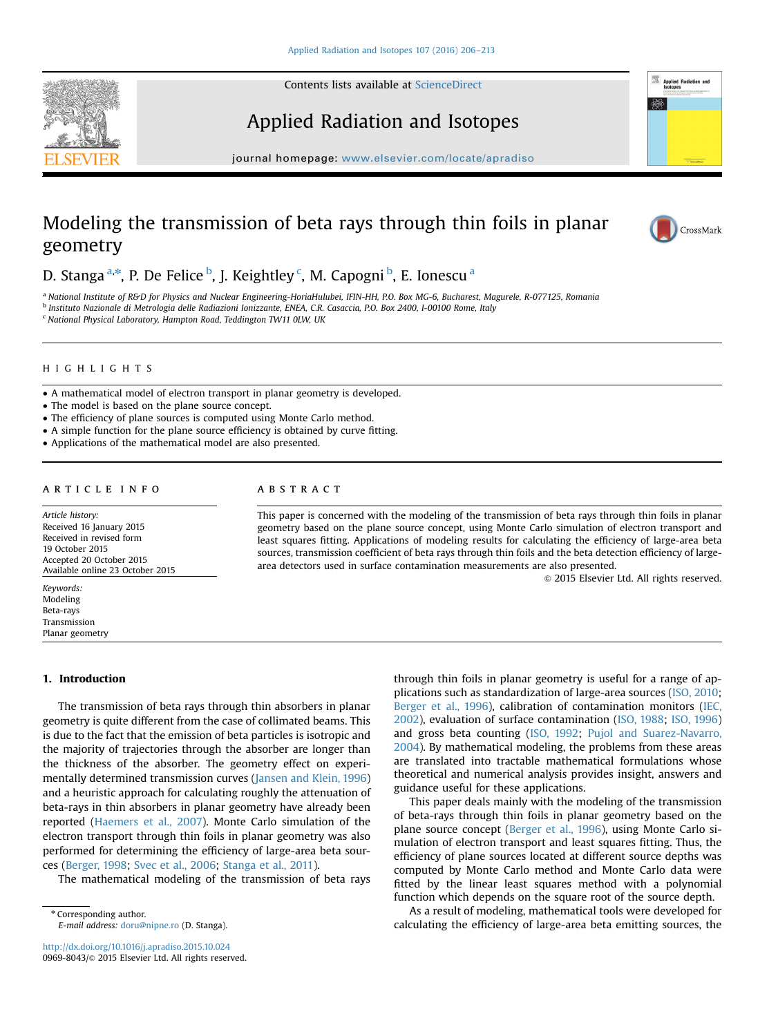Contents lists available at [ScienceDirect](www.sciencedirect.com/science/journal/09698043)





# Applied Radiation and Isotopes

journal homepage: <www.elsevier.com/locate/apradiso>

# Modeling the transmission of beta rays through thin foils in planar geometry



D. Stanga <sup>a,\*</sup>, P. De Felice <sup>b</sup>, J. Keightley <sup>c</sup>, M. Capogni <sup>b</sup>, E. Ionescu <sup>a</sup>

<sup>a</sup> National Institute of R&D for Physics and Nuclear Engineering-HoriaHulubei, IFIN-HH, P.O. Box MG-6, Bucharest, Magurele, R-077125, Romania

<sup>b</sup> Instituto Nazionale di Metrologia delle Radiazioni Ionizzante, ENEA, C.R. Casaccia, P.O. Box 2400, I-00100 Rome, Italy

<sup>c</sup> National Physical Laboratory, Hampton Road, Teddington TW11 0LW, UK

# HIGHLIGHTS

- A mathematical model of electron transport in planar geometry is developed.
- The model is based on the plane source concept.
- The efficiency of plane sources is computed using Monte Carlo method.
- A simple function for the plane source efficiency is obtained by curve fitting.
- Applications of the mathematical model are also presented.

# article info

Article history: Received 16 January 2015 Received in revised form 19 October 2015 Accepted 20 October 2015 Available online 23 October 2015

Keywords: Modeling Beta-rays Transmission Planar geometry

## 1. Introduction

The transmission of beta rays through thin absorbers in planar geometry is quite different from the case of collimated beams. This is due to the fact that the emission of beta particles is isotropic and the majority of trajectories through the absorber are longer than the thickness of the absorber. The geometry effect on experimentally determined transmission curves ([Jansen and Klein, 1996\)](#page-7-0) and a heuristic approach for calculating roughly the attenuation of beta-rays in thin absorbers in planar geometry have already been reported [\(Haemers et al., 2007\)](#page-7-0). Monte Carlo simulation of the electron transport through thin foils in planar geometry was also performed for determining the efficiency of large-area beta sources [\(Berger, 1998](#page-7-0); [Svec et al., 2006](#page-7-0); [Stanga et al., 2011](#page-7-0)).

The mathematical modeling of the transmission of beta rays

\* Corresponding author. E-mail address: [doru@nipne.ro](mailto:doru@nipne.ro) (D. Stanga).

<http://dx.doi.org/10.1016/j.apradiso.2015.10.024> 0969-8043/& 2015 Elsevier Ltd. All rights reserved.

# ABSTRACT

This paper is concerned with the modeling of the transmission of beta rays through thin foils in planar geometry based on the plane source concept, using Monte Carlo simulation of electron transport and least squares fitting. Applications of modeling results for calculating the efficiency of large-area beta sources, transmission coefficient of beta rays through thin foils and the beta detection efficiency of largearea detectors used in surface contamination measurements are also presented.

 $\odot$  2015 Elsevier Ltd. All rights reserved.

through thin foils in planar geometry is useful for a range of applications such as standardization of large-area sources ([ISO, 2010;](#page-7-0) [Berger et al., 1996\)](#page-7-0), calibration of contamination monitors ([IEC,](#page-7-0) [2002\)](#page-7-0), evaluation of surface contamination ([ISO, 1988](#page-7-0); [ISO, 1996\)](#page-7-0) and gross beta counting [\(ISO, 1992;](#page-7-0) [Pujol and Suarez-Navarro,](#page-7-0) [2004](#page-7-0)). By mathematical modeling, the problems from these areas are translated into tractable mathematical formulations whose theoretical and numerical analysis provides insight, answers and guidance useful for these applications.

This paper deals mainly with the modeling of the transmission of beta-rays through thin foils in planar geometry based on the plane source concept [\(Berger et al., 1996](#page-7-0)), using Monte Carlo simulation of electron transport and least squares fitting. Thus, the efficiency of plane sources located at different source depths was computed by Monte Carlo method and Monte Carlo data were fitted by the linear least squares method with a polynomial function which depends on the square root of the source depth.

As a result of modeling, mathematical tools were developed for calculating the efficiency of large-area beta emitting sources, the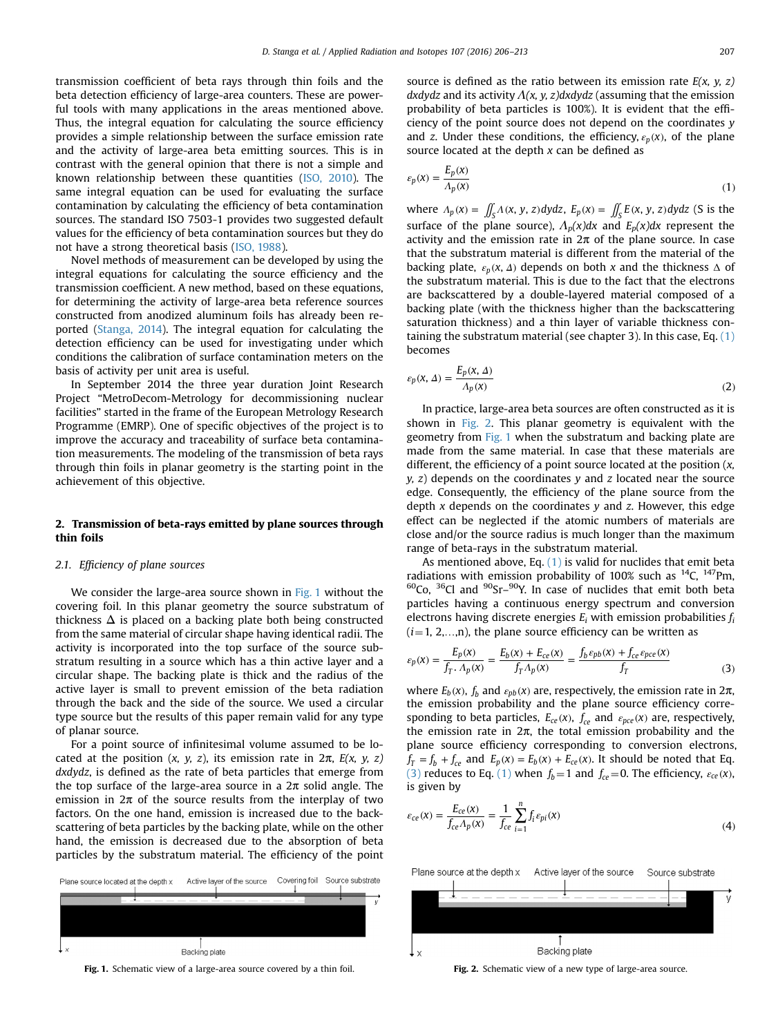*E x*

<span id="page-1-0"></span>transmission coefficient of beta rays through thin foils and the beta detection efficiency of large-area counters. These are powerful tools with many applications in the areas mentioned above. Thus, the integral equation for calculating the source efficiency provides a simple relationship between the surface emission rate and the activity of large-area beta emitting sources. This is in contrast with the general opinion that there is not a simple and known relationship between these quantities [\(ISO, 2010\)](#page-7-0). The same integral equation can be used for evaluating the surface contamination by calculating the efficiency of beta contamination sources. The standard ISO 7503-1 provides two suggested default values for the efficiency of beta contamination sources but they do not have a strong theoretical basis [\(ISO, 1988](#page-7-0)).

Novel methods of measurement can be developed by using the integral equations for calculating the source efficiency and the transmission coefficient. A new method, based on these equations, for determining the activity of large-area beta reference sources constructed from anodized aluminum foils has already been reported ([Stanga, 2014](#page-7-0)). The integral equation for calculating the detection efficiency can be used for investigating under which conditions the calibration of surface contamination meters on the basis of activity per unit area is useful.

In September 2014 the three year duration Joint Research Project "MetroDecom-Metrology for decommissioning nuclear facilities" started in the frame of the European Metrology Research Programme (EMRP). One of specific objectives of the project is to improve the accuracy and traceability of surface beta contamination measurements. The modeling of the transmission of beta rays through thin foils in planar geometry is the starting point in the achievement of this objective.

## 2. Transmission of beta-rays emitted by plane sources through thin foils

### 2.1. Efficiency of plane sources

We consider the large-area source shown in Fig. 1 without the covering foil. In this planar geometry the source substratum of thickness  $\Delta$  is placed on a backing plate both being constructed from the same material of circular shape having identical radii. The activity is incorporated into the top surface of the source substratum resulting in a source which has a thin active layer and a circular shape. The backing plate is thick and the radius of the active layer is small to prevent emission of the beta radiation through the back and the side of the source. We used a circular type source but the results of this paper remain valid for any type of planar source.

For a point source of infinitesimal volume assumed to be located at the position  $(x, y, z)$ , its emission rate in  $2\pi$ ,  $E(x, y, z)$ dxdydz, is defined as the rate of beta particles that emerge from the top surface of the large-area source in a  $2\pi$  solid angle. The emission in  $2\pi$  of the source results from the interplay of two factors. On the one hand, emission is increased due to the backscattering of beta particles by the backing plate, while on the other hand, the emission is decreased due to the absorption of beta particles by the substratum material. The efficiency of the point



Fig. 1. Schematic view of a large-area source covered by a thin foil. Fig. 2. Schematic view of a new type of large-area source.

source is defined as the ratio between its emission rate  $E(x, y, z)$ dxdydz and its activity  $\Lambda(x, y, z)$ dxdydz (assuming that the emission probability of beta particles is 100%). It is evident that the efficiency of the point source does not depend on the coordinates y and z. Under these conditions, the efficiency,  $\varepsilon_p(x)$ , of the plane source located at the depth  $x$  can be defined as

$$
\varepsilon_p(x) = \frac{E_p(x)}{\Lambda_p(x)}\tag{1}
$$

where  $\Lambda_p(x) = \iint_S \Lambda(x, y, z) dy dz$ ,  $E_p(x) = \iint_S E(x, y, z) dy dz$  (S is the surface of the plane source),  $\Lambda_p(x)dx$  and  $E_p(x)dx$  represent the activity and the emission rate in  $2\pi$  of the plane source. In case that the substratum material is different from the material of the backing plate,  $\varepsilon_p(x, \Delta)$  depends on both x and the thickness  $\Delta$  of the substratum material. This is due to the fact that the electrons are backscattered by a double-layered material composed of a backing plate (with the thickness higher than the backscattering saturation thickness) and a thin layer of variable thickness containing the substratum material (see chapter 3). In this case, Eq.  $(1)$ becomes

$$
\varepsilon_p(\mathbf{x}, \Delta) = \frac{E_p(\mathbf{x}, \Delta)}{\Lambda_p(\mathbf{x})}
$$
 (2)

In practice, large-area beta sources are often constructed as it is shown in Fig. 2. This planar geometry is equivalent with the geometry from Fig. 1 when the substratum and backing plate are made from the same material. In case that these materials are different, the efficiency of a point source located at the position  $(x, \theta)$  $y$ ,  $z$ ) depends on the coordinates  $y$  and  $z$  located near the source edge. Consequently, the efficiency of the plane source from the depth  $x$  depends on the coordinates  $y$  and  $z$ . However, this edge effect can be neglected if the atomic numbers of materials are close and/or the source radius is much longer than the maximum range of beta-rays in the substratum material.

As mentioned above, Eq.  $(1)$  is valid for nuclides that emit beta radiations with emission probability of 100% such as  $^{14}C$ ,  $^{147}Pm$ ,  $60C$ <sub>0</sub>,  $36C$ l and  $90Sr-90$ . In case of nuclides that emit both beta particles having a continuous energy spectrum and conversion electrons having discrete energies  $E_i$  with emission probabilities  $f_i$  $(i=1, 2, \ldots, n)$ , the plane source efficiency can be written as

$$
\varepsilon_p(x) = \frac{E_p(x)}{f_T \cdot A_p(x)} = \frac{E_b(x) + E_{ce}(x)}{f_T \cdot A_p(x)} = \frac{f_b \varepsilon_{pb}(x) + f_{ce} \varepsilon_{pce}(x)}{f_T} \tag{3}
$$

where  $E_b(x)$ ,  $f_b$  and  $\varepsilon_{pb}(x)$  are, respectively, the emission rate in  $2\pi$ , the emission probability and the plane source efficiency corresponding to beta particles,  $E_{ce}(x)$ ,  $f_{ce}$  and  $\varepsilon_{pce}(x)$  are, respectively, the emission rate in  $2\pi$ , the total emission probability and the plane source efficiency corresponding to conversion electrons,  $f_T = f_b + f_{ce}$  and  $E_p(x) = E_b(x) + E_{ce}(x)$ . It should be noted that Eq. (3) reduces to Eq. (1) when  $f_b = 1$  and  $f_{ce} = 0$ . The efficiency,  $\varepsilon_{ce}(x)$ , is given by

$$
\varepsilon_{ce}(x) = \frac{E_{ce}(x)}{f_{ce}A_p(x)} = \frac{1}{f_{ce}} \sum_{i=1}^n f_i \varepsilon_{pi}(x)
$$
\n(4)

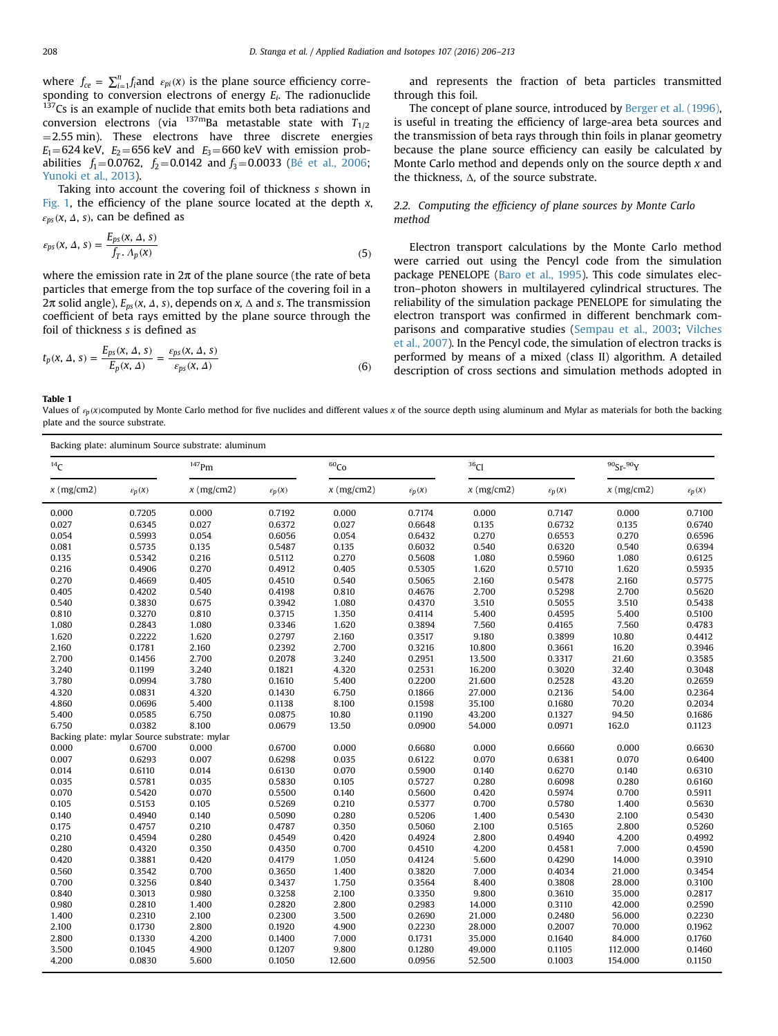<span id="page-2-0"></span>where  $f_{ce} = \sum_{i=1}^{n} f_i$  and  $\varepsilon_{pi}(x)$  is the plane source efficiency corresponding to conversion electrons of energy  $E_i$ . The radionuclide  $137$ Cs is an example of nuclide that emits both beta radiations and conversion electrons (via  $^{137m}$ Ba metastable state with  $T_{1/2}$  $=$  2.55 min). These electrons have three discrete energies  $E_1 = 624$  keV,  $E_2 = 656$  keV and  $E_3 = 660$  keV with emission probabilities  $f_1 = 0.0762$ ,  $f_2 = 0.0142$  and  $f_3 = 0.0033$  ([Bé et al., 2006;](#page-7-0) [Yunoki et al., 2013\)](#page-7-0).

Taking into account the covering foil of thickness s shown in [Fig. 1,](#page-1-0) the efficiency of the plane source located at the depth  $x$ ,  $\varepsilon_{ps}$  (*x*,  $\Delta$ , *s*), can be defined as

$$
\varepsilon_{ps}(x, \Delta, s) = \frac{E_{ps}(x, \Delta, s)}{f_T \cdot \Lambda_p(x)}\tag{5}
$$

where the emission rate in  $2\pi$  of the plane source (the rate of beta particles that emerge from the top surface of the covering foil in a 2π solid angle),  $E_{ps}$  (x, Δ, s), depends on x, Δ and s. The transmission coefficient of beta rays emitted by the plane source through the foil of thickness s is defined as

$$
t_p(x, \Delta, s) = \frac{E_{ps}(x, \Delta, s)}{E_p(x, \Delta)} = \frac{\varepsilon_{ps}(x, \Delta, s)}{\varepsilon_{ps}(x, \Delta)}\tag{6}
$$

Table 1

Values of  $\varepsilon_p(x)$ computed by Monte Carlo method for five nuclides and different values x of the source depth using aluminum and Mylar as materials for both the backing plate and the source substrate.

| Backing plate: aluminum Source substrate: aluminum |                      |                      |                    |                  |                    |                  |                    |                 |                    |  |
|----------------------------------------------------|----------------------|----------------------|--------------------|------------------|--------------------|------------------|--------------------|-----------------|--------------------|--|
| 14C                                                |                      | $147$ Pm             |                    | 60 <sub>Co</sub> |                    | 36 <sub>Cl</sub> |                    | $90$ Sr- $90$ Y |                    |  |
| $x$ (mg/cm2)                                       | $\varepsilon_{p}(X)$ | $x \text{ (mg/cm2)}$ | $\varepsilon_p(x)$ | $x$ (mg/cm2)     | $\varepsilon_p(x)$ | $x$ (mg/cm2)     | $\varepsilon_p(x)$ | $x$ (mg/cm2)    | $\varepsilon_p(X)$ |  |
| 0.000                                              | 0.7205               | 0.000                | 0.7192             | 0.000            | 0.7174             | 0.000            | 0.7147             | 0.000           | 0.7100             |  |
| 0.027                                              | 0.6345               | 0.027                | 0.6372             | 0.027            | 0.6648             | 0.135            | 0.6732             | 0.135           | 0.6740             |  |
| 0.054                                              | 0.5993               | 0.054                | 0.6056             | 0.054            | 0.6432             | 0.270            | 0.6553             | 0.270           | 0.6596             |  |
| 0.081                                              | 0.5735               | 0.135                | 0.5487             | 0.135            | 0.6032             | 0.540            | 0.6320             | 0.540           | 0.6394             |  |
| 0.135                                              | 0.5342               | 0.216                | 0.5112             | 0.270            | 0.5608             | 1.080            | 0.5960             | 1.080           | 0.6125             |  |
| 0.216                                              | 0.4906               | 0.270                | 0.4912             | 0.405            | 0.5305             | 1.620            | 0.5710             | 1.620           | 0.5935             |  |
| 0.270                                              | 0.4669               | 0.405                | 0.4510             | 0.540            | 0.5065             | 2.160            | 0.5478             | 2.160           | 0.5775             |  |
| 0.405                                              | 0.4202               | 0.540                | 0.4198             | 0.810            | 0.4676             | 2.700            | 0.5298             | 2.700           | 0.5620             |  |
| 0.540                                              | 0.3830               | 0.675                | 0.3942             | 1.080            | 0.4370             | 3.510            | 0.5055             | 3.510           | 0.5438             |  |
| 0.810                                              | 0.3270               | 0.810                | 0.3715             | 1.350            | 0.4114             | 5.400            | 0.4595             | 5.400           | 0.5100             |  |
| 1.080                                              | 0.2843               | 1.080                | 0.3346             | 1.620            | 0.3894             | 7.560            | 0.4165             | 7.560           | 0.4783             |  |
| 1.620                                              | 0.2222               | 1.620                | 0.2797             | 2.160            | 0.3517             | 9.180            | 0.3899             | 10.80           | 0.4412             |  |
| 2.160                                              | 0.1781               | 2.160                | 0.2392             | 2.700            | 0.3216             | 10.800           | 0.3661             | 16.20           | 0.3946             |  |
| 2.700                                              | 0.1456               | 2.700                | 0.2078             | 3.240            | 0.2951             | 13.500           | 0.3317             | 21.60           | 0.3585             |  |
| 3.240                                              | 0.1199               | 3.240                | 0.1821             | 4.320            | 0.2531             | 16.200           | 0.3020             | 32.40           | 0.3048             |  |
| 3.780                                              | 0.0994               | 3.780                | 0.1610             | 5.400            | 0.2200             | 21.600           | 0.2528             | 43.20           | 0.2659             |  |
| 4.320                                              | 0.0831               | 4.320                | 0.1430             | 6.750            | 0.1866             | 27.000           | 0.2136             | 54.00           | 0.2364             |  |
| 4.860                                              | 0.0696               | 5.400                | 0.1138             | 8.100            | 0.1598             | 35.100           | 0.1680             | 70.20           | 0.2034             |  |
| 5.400                                              | 0.0585               | 6.750                | 0.0875             | 10.80            | 0.1190             | 43.200           | 0.1327             | 94.50           | 0.1686             |  |
| 6.750                                              | 0.0382               | 8.100                | 0.0679             | 13.50            | 0.0900             | 54.000           | 0.0971             | 162.0           | 0.1123             |  |
| Backing plate: mylar Source substrate: mylar       |                      |                      |                    |                  |                    |                  |                    |                 |                    |  |
| 0.000                                              | 0.6700               | 0.000                | 0.6700             | 0.000            | 0.6680             | 0.000            | 0.6660             | 0.000           | 0.6630             |  |
| 0.007                                              | 0.6293               | 0.007                | 0.6298             | 0.035            | 0.6122             | 0.070            | 0.6381             | 0.070           | 0.6400             |  |
| 0.014                                              | 0.6110               | 0.014                | 0.6130             | 0.070            | 0.5900             | 0.140            | 0.6270             | 0.140           | 0.6310             |  |
| 0.035                                              | 0.5781               | 0.035                | 0.5830             | 0.105            | 0.5727             | 0.280            | 0.6098             | 0.280           | 0.6160             |  |
| 0.070                                              | 0.5420               | 0.070                | 0.5500             | 0.140            | 0.5600             | 0.420            | 0.5974             | 0.700           | 0.5911             |  |
| 0.105                                              | 0.5153               | 0.105                | 0.5269             | 0.210            | 0.5377             | 0.700            | 0.5780             | 1.400           | 0.5630             |  |
| 0.140                                              | 0.4940               | 0.140                | 0.5090             | 0.280            | 0.5206             | 1.400            | 0.5430             | 2.100           | 0.5430             |  |
| 0.175                                              | 0.4757               | 0.210                | 0.4787             | 0.350            | 0.5060             | 2.100            | 0.5165             | 2.800           | 0.5260             |  |
| 0.210                                              | 0.4594               | 0.280                | 0.4549             | 0.420            | 0.4924             | 2.800            | 0.4940             | 4.200           | 0.4992             |  |
| 0.280                                              | 0.4320               | 0.350                | 0.4350             | 0.700            | 0.4510             | 4.200            | 0.4581             | 7.000           | 0.4590             |  |
| 0.420                                              | 0.3881               | 0.420                | 0.4179             | 1.050            | 0.4124             | 5.600            | 0.4290             | 14.000          | 0.3910             |  |
| 0.560                                              | 0.3542               | 0.700                | 0.3650             | 1.400            | 0.3820             | 7.000            | 0.4034             | 21.000          | 0.3454             |  |
| 0.700                                              | 0.3256               | 0.840                | 0.3437             | 1.750            | 0.3564             | 8.400            | 0.3808             | 28.000          | 0.3100             |  |
| 0.840                                              | 0.3013               | 0.980                | 0.3258             | 2.100            | 0.3350             | 9.800            | 0.3610             | 35.000          | 0.2817             |  |
| 0.980                                              | 0.2810               | 1.400                | 0.2820             | 2.800            | 0.2983             | 14.000           | 0.3110             | 42.000          | 0.2590             |  |
| 1.400                                              | 0.2310               | 2.100                | 0.2300             | 3.500            | 0.2690             | 21.000           | 0.2480             | 56.000          | 0.2230             |  |
| 2.100                                              | 0.1730               | 2.800                | 0.1920             | 4.900            | 0.2230             | 28.000           | 0.2007             | 70.000          | 0.1962             |  |
| 2.800                                              | 0.1330               | 4.200                | 0.1400             | 7.000            | 0.1731             | 35.000           | 0.1640             | 84.000          | 0.1760             |  |
| 3.500                                              | 0.1045               | 4.900                | 0.1207             | 9.800            | 0.1280             | 49.000           | 0.1105             | 112.000         | 0.1460             |  |
| 4.200                                              | 0.0830               | 5.600                | 0.1050             | 12.600           | 0.0956             | 52.500           | 0.1003             | 154.000         | 0.1150             |  |

and represents the fraction of beta particles transmitted through this foil.

The concept of plane source, introduced by [Berger et al. \(1996\),](#page-7-0) is useful in treating the efficiency of large-area beta sources and the transmission of beta rays through thin foils in planar geometry because the plane source efficiency can easily be calculated by Monte Carlo method and depends only on the source depth  $x$  and the thickness, Δ, of the source substrate.

## 2.2. Computing the efficiency of plane sources by Monte Carlo method

Electron transport calculations by the Monte Carlo method were carried out using the Pencyl code from the simulation package PENELOPE ([Baro et al., 1995](#page-7-0)). This code simulates electron–photon showers in multilayered cylindrical structures. The reliability of the simulation package PENELOPE for simulating the electron transport was confirmed in different benchmark comparisons and comparative studies ([Sempau et al., 2003;](#page-7-0) [Vilches](#page-7-0) [et al., 2007\)](#page-7-0). In the Pencyl code, the simulation of electron tracks is performed by means of a mixed (class II) algorithm. A detailed description of cross sections and simulation methods adopted in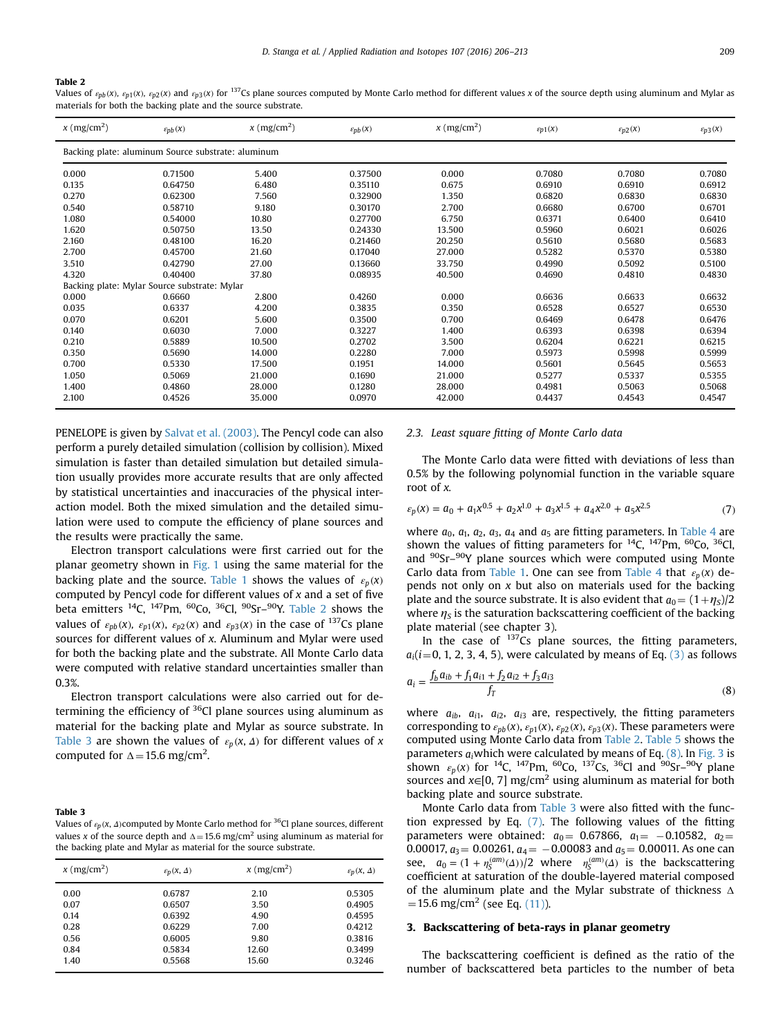#### <span id="page-3-0"></span>Table 2

Values of  $\varepsilon_{n b}(x)$ ,  $\varepsilon_{p1}(x)$ ,  $\varepsilon_{p2}(x)$  and  $\varepsilon_{p3}(x)$  for <sup>137</sup>Cs plane sources computed by Monte Carlo method for different values x of the source depth using aluminum and Mylar as materials for both the backing plate and the source substrate.

| $x \text{ (mg/cm}^2)$                              | $\varepsilon_{pb}(x)$                        | $x \text{ (mg/cm}^2)$ | $\varepsilon_{pb}(x)$ | $x \, (\text{mg/cm}^2)$ | $\varepsilon_{p1}(x)$ | $\varepsilon_{p2}(x)$ | $\varepsilon_{p3}(x)$ |  |  |
|----------------------------------------------------|----------------------------------------------|-----------------------|-----------------------|-------------------------|-----------------------|-----------------------|-----------------------|--|--|
| Backing plate: aluminum Source substrate: aluminum |                                              |                       |                       |                         |                       |                       |                       |  |  |
| 0.000                                              | 0.71500                                      | 5.400                 | 0.37500               | 0.000                   | 0.7080                | 0.7080                | 0.7080                |  |  |
| 0.135                                              | 0.64750                                      | 6.480                 | 0.35110               | 0.675                   | 0.6910                | 0.6910                | 0.6912                |  |  |
| 0.270                                              | 0.62300                                      | 7.560                 | 0.32900               | 1.350                   | 0.6820                | 0.6830                | 0.6830                |  |  |
| 0.540                                              | 0.58710                                      | 9.180                 | 0.30170               | 2.700                   | 0.6680                | 0.6700                | 0.6701                |  |  |
| 1.080                                              | 0.54000                                      | 10.80                 | 0.27700               | 6.750                   | 0.6371                | 0.6400                | 0.6410                |  |  |
| 1.620                                              | 0.50750                                      | 13.50                 | 0.24330               | 13.500                  | 0.5960                | 0.6021                | 0.6026                |  |  |
| 2.160                                              | 0.48100                                      | 16.20                 | 0.21460               | 20.250                  | 0.5610                | 0.5680                | 0.5683                |  |  |
| 2.700                                              | 0.45700                                      | 21.60                 | 0.17040               | 27.000                  | 0.5282                | 0.5370                | 0.5380                |  |  |
| 3.510                                              | 0.42790                                      | 27.00                 | 0.13660               | 33.750                  | 0.4990                | 0.5092                | 0.5100                |  |  |
| 4.320                                              | 0.40400                                      | 37.80                 | 0.08935               | 40.500                  | 0.4690                | 0.4810                | 0.4830                |  |  |
|                                                    | Backing plate: Mylar Source substrate: Mylar |                       |                       |                         |                       |                       |                       |  |  |
| 0.000                                              | 0.6660                                       | 2.800                 | 0.4260                | 0.000                   | 0.6636                | 0.6633                | 0.6632                |  |  |
| 0.035                                              | 0.6337                                       | 4.200                 | 0.3835                | 0.350                   | 0.6528                | 0.6527                | 0.6530                |  |  |
| 0.070                                              | 0.6201                                       | 5.600                 | 0.3500                | 0.700                   | 0.6469                | 0.6478                | 0.6476                |  |  |
| 0.140                                              | 0.6030                                       | 7.000                 | 0.3227                | 1.400                   | 0.6393                | 0.6398                | 0.6394                |  |  |
| 0.210                                              | 0.5889                                       | 10.500                | 0.2702                | 3.500                   | 0.6204                | 0.6221                | 0.6215                |  |  |
| 0.350                                              | 0.5690                                       | 14.000                | 0.2280                | 7.000                   | 0.5973                | 0.5998                | 0.5999                |  |  |
| 0.700                                              | 0.5330                                       | 17.500                | 0.1951                | 14.000                  | 0.5601                | 0.5645                | 0.5653                |  |  |
| 1.050                                              | 0.5069                                       | 21.000                | 0.1690                | 21.000                  | 0.5277                | 0.5337                | 0.5355                |  |  |
| 1.400                                              | 0.4860                                       | 28.000                | 0.1280                | 28.000                  | 0.4981                | 0.5063                | 0.5068                |  |  |
| 2.100                                              | 0.4526                                       | 35.000                | 0.0970                | 42.000                  | 0.4437                | 0.4543                | 0.4547                |  |  |

PENELOPE is given by [Salvat et al. \(2003\)](#page-7-0). The Pencyl code can also perform a purely detailed simulation (collision by collision). Mixed simulation is faster than detailed simulation but detailed simulation usually provides more accurate results that are only affected by statistical uncertainties and inaccuracies of the physical interaction model. Both the mixed simulation and the detailed simulation were used to compute the efficiency of plane sources and the results were practically the same.

Electron transport calculations were first carried out for the planar geometry shown in [Fig. 1](#page-1-0) using the same material for the backing plate and the source. [Table 1](#page-2-0) shows the values of  $\varepsilon_p(x)$ computed by Pencyl code for different values of  $x$  and a set of five beta emitters  $^{14}C$ ,  $^{147}Pm$ ,  $^{60}Co$ ,  $^{36}Cl$ ,  $^{90}Sr-^{90}Y$ . Table 2 shows the values of  $\varepsilon_{pb}(x)$ ,  $\varepsilon_{p1}(x)$ ,  $\varepsilon_{p2}(x)$  and  $\varepsilon_{p3}(x)$  in the case of <sup>137</sup>Cs plane sources for different values of x. Aluminum and Mylar were used for both the backing plate and the substrate. All Monte Carlo data were computed with relative standard uncertainties smaller than 0.3%.

Electron transport calculations were also carried out for determining the efficiency of  $36$ Cl plane sources using aluminum as material for the backing plate and Mylar as source substrate. In Table 3 are shown the values of  $\varepsilon_p(x, \Delta)$  for different values of x computed for  $\Delta = 15.6$  mg/cm<sup>2</sup>.

# Table 3 Values of  $\varepsilon_p$ ( $x$ ,  $\Delta$ ) computed by Monte Carlo method for <sup>36</sup>Cl plane sources, different

| values x of the source depth and $\Delta = 15.6$ mg/cm <sup>2</sup> using aluminum as material for |
|----------------------------------------------------------------------------------------------------|
| the backing plate and Mylar as material for the source substrate.                                  |

| $x \, (\text{mg/cm}^2)$ | $\varepsilon_p(X, \Delta)$ | $x \, (\text{mg/cm}^2)$ | $\varepsilon_p(X, \Delta)$ |
|-------------------------|----------------------------|-------------------------|----------------------------|
| 0.00                    | 0.6787                     | 2.10                    | 0.5305                     |
| 0.07                    | 0.6507                     | 3.50                    | 0.4905                     |
| 0.14                    | 0.6392                     | 4.90                    | 0.4595                     |
| 0.28                    | 0.6229                     | 7.00                    | 0.4212                     |
| 0.56                    | 0.6005                     | 9.80                    | 0.3816                     |
| 0.84                    | 0.5834                     | 12.60                   | 0.3499                     |
| 1.40                    | 0.5568                     | 15.60                   | 0.3246                     |
|                         |                            |                         |                            |

### 2.3. Least square fitting of Monte Carlo data

The Monte Carlo data were fitted with deviations of less than 0.5% by the following polynomial function in the variable square root of x.

$$
\varepsilon_p(x) = a_0 + a_1 x^{0.5} + a_2 x^{1.0} + a_3 x^{1.5} + a_4 x^{2.0} + a_5 x^{2.5}
$$
 (7)

where  $a_0$ ,  $a_1$ ,  $a_2$ ,  $a_3$ ,  $a_4$  and  $a_5$  are fitting parameters. In [Table 4](#page-4-0) are shown the values of fitting parameters for  $^{14}C$ ,  $^{147}Pm$ ,  $^{60}Co$ ,  $^{36}Cl$ , and <sup>90</sup>Sr-<sup>90</sup>Y plane sources which were computed using Monte Carlo data from [Table 1.](#page-2-0) One can see from [Table 4](#page-4-0) that  $\varepsilon_p(x)$  depends not only on  $x$  but also on materials used for the backing plate and the source substrate. It is also evident that  $a_0 = (1 + \eta_S)/2$ where  $\eta_s$  is the saturation backscattering coefficient of the backing plate material (see chapter 3).

In the case of  $137Cs$  plane sources, the fitting parameters,  $a_i(i=0, 1, 2, 3, 4, 5)$ , were calculated by means of Eq.  $(3)$  as follows

$$
a_i = \frac{f_b a_{ib} + f_1 a_{i1} + f_2 a_{i2} + f_3 a_{i3}}{f_T}
$$
\n(8)

where  $a_{ib}$ ,  $a_{i1}$ ,  $a_{i2}$ ,  $a_{i3}$  are, respectively, the fitting parameters corresponding to  $\varepsilon_{pb}(x)$ ,  $\varepsilon_{p1}(x)$ ,  $\varepsilon_{p2}(x)$ ,  $\varepsilon_{p3}(x)$ . These parameters were computed using Monte Carlo data from Table 2. [Table 5](#page-4-0) shows the parameters *ai*which were calculated by means of Eq. (8). In [Fig. 3](#page-5-0) is shown  $\varepsilon_p(x)$  for <sup>14</sup>C, <sup>147</sup>Pm, <sup>60</sup>Co, <sup>137</sup>Cs, <sup>36</sup>Cl and <sup>90</sup>Sr-<sup>90</sup>Y plane sources and  $x \in [0, 7]$  mg/cm<sup>2</sup> using aluminum as material for both backing plate and source substrate.

Monte Carlo data from Table 3 were also fitted with the function expressed by Eq. (7). The following values of the fitting parameters were obtained:  $a_0 = 0.67866$ ,  $a_1 = -0.10582$ ,  $a_2 =$ 0.00017,  $a_3$  = 0.00261,  $a_4$  = -0.00083 and  $a_5$  = 0.00011. As one can see,  $a_0 = (1 + \eta_S^{(am)}(\Delta))/2$  where  $\eta_S^{(am)}(\Delta)$  is the backscattering coefficient at saturation of the double-layered material composed of the aluminum plate and the Mylar substrate of thickness Δ  $=15.6$  mg/cm<sup>2</sup> (see Eq. [\(11\)\)](#page-4-0).

#### 3. Backscattering of beta-rays in planar geometry

The backscattering coefficient is defined as the ratio of the number of backscattered beta particles to the number of beta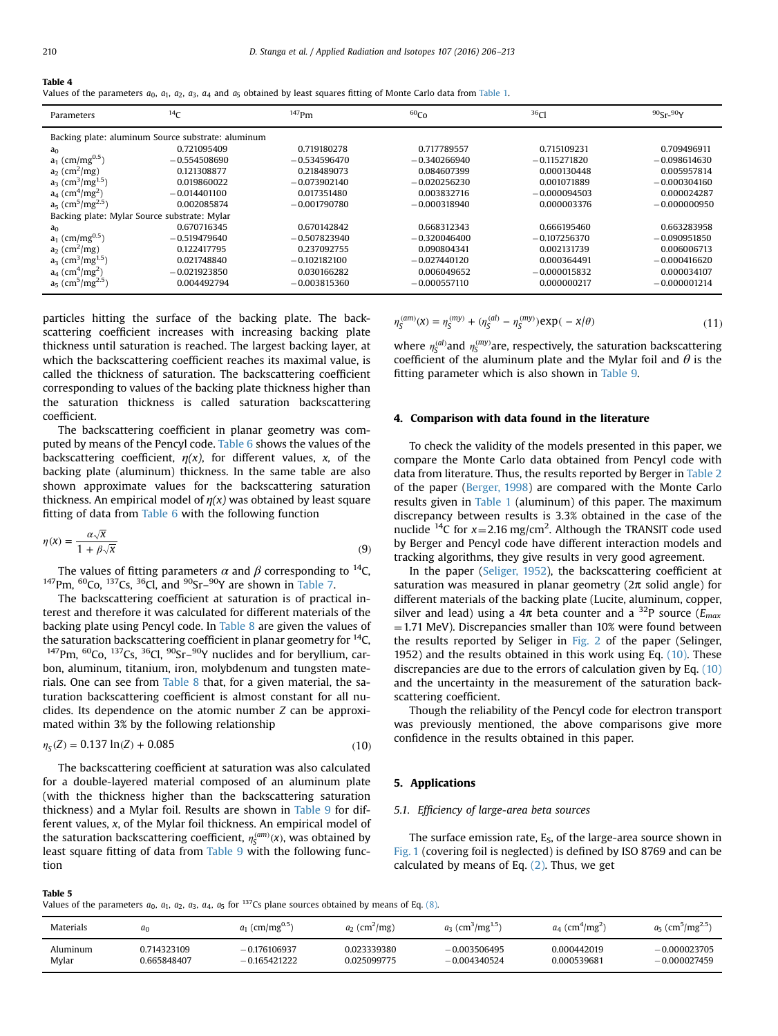<span id="page-4-0"></span>

| Table 4 |  |  |  |
|---------|--|--|--|

| Parameters                                         | 14 <sub>C</sub> | $147$ Pm       | 60 <sub>Co</sub> | 36 <sub>Cl</sub> | $90$ Sr- $90$ Y |  |  |  |
|----------------------------------------------------|-----------------|----------------|------------------|------------------|-----------------|--|--|--|
| Backing plate: aluminum Source substrate: aluminum |                 |                |                  |                  |                 |  |  |  |
| a <sub>0</sub>                                     | 0.721095409     | 0.719180278    | 0.717789557      | 0.715109231      | 0.709496911     |  |  |  |
| $a_1$ (cm/mg <sup>0.5</sup> )                      | $-0.554508690$  | $-0.534596470$ | $-0.340266940$   | $-0.115271820$   | $-0.098614630$  |  |  |  |
| $a_2$ (cm <sup>2</sup> /mg)                        | 0.121308877     | 0.218489073    | 0.084607399      | 0.000130448      | 0.005957814     |  |  |  |
| $a_3$ (cm <sup>3</sup> /mg <sup>1.5</sup> )        | 0.019860022     | $-0.073902140$ | $-0.020256230$   | 0.001071889      | $-0.000304160$  |  |  |  |
| $a_4$ (cm <sup>4</sup> /mg <sup>2</sup> )          | $-0.014401100$  | 0.017351480    | 0.003832716      | $-0.000094503$   | 0.000024287     |  |  |  |
| $a_5$ (cm <sup>5</sup> /mg <sup>2.5</sup> )        | 0.002085874     | $-0.001790780$ | $-0.000318940$   | 0.000003376      | $-0.000000950$  |  |  |  |
| Backing plate: Mylar Source substrate: Mylar       |                 |                |                  |                  |                 |  |  |  |
| a <sub>0</sub>                                     | 0.670716345     | 0.670142842    | 0.668312343      | 0.666195460      | 0.663283958     |  |  |  |
| $a_1$ (cm/mg <sup>0.5</sup> )                      | $-0.519479640$  | $-0.507823940$ | $-0.320046400$   | $-0.107256370$   | $-0.090951850$  |  |  |  |
| $a_2$ (cm <sup>2</sup> /mg)                        | 0.122417795     | 0.237092755    | 0.090804341      | 0.002131739      | 0.006006713     |  |  |  |
| $a_3$ (cm <sup>3</sup> /mg <sup>1.5</sup> )        | 0.021748840     | $-0.102182100$ | $-0.027440120$   | 0.000364491      | $-0.000416620$  |  |  |  |
| $a_4$ (cm <sup>4</sup> /mg <sup>2</sup> )          | $-0.021923850$  | 0.030166282    | 0.006049652      | $-0.000015832$   | 0.000034107     |  |  |  |
| $a_5$ (cm <sup>5</sup> /mg <sup>2.5</sup> )        | 0.004492794     | $-0.003815360$ | $-0.000557110$   | 0.000000217      | $-0.000001214$  |  |  |  |

particles hitting the surface of the backing plate. The backscattering coefficient increases with increasing backing plate thickness until saturation is reached. The largest backing layer, at which the backscattering coefficient reaches its maximal value, is called the thickness of saturation. The backscattering coefficient corresponding to values of the backing plate thickness higher than the saturation thickness is called saturation backscattering coefficient.

The backscattering coefficient in planar geometry was computed by means of the Pencyl code. [Table 6](#page-5-0) shows the values of the backscattering coefficient,  $\eta(x)$ , for different values, x, of the backing plate (aluminum) thickness. In the same table are also shown approximate values for the backscattering saturation thickness. An empirical model of  $\eta(x)$  was obtained by least square fitting of data from [Table 6](#page-5-0) with the following function

$$
\eta(x) = \frac{\alpha \sqrt{x}}{1 + \beta \sqrt{x}}\tag{9}
$$

The values of fitting parameters  $\alpha$  and  $\beta$  corresponding to <sup>14</sup>C, <sup>147</sup>Pm, <sup>60</sup>Co, <sup>137</sup>Cs, <sup>36</sup>Cl, and <sup>90</sup>Sr-<sup>90</sup>Y are shown in [Table 7](#page-5-0).

The backscattering coefficient at saturation is of practical interest and therefore it was calculated for different materials of the backing plate using Pencyl code. In [Table 8](#page-5-0) are given the values of the saturation backscattering coefficient in planar geometry for  $^{14}C$ ,  $147$ Pm,  $60$ Co,  $137$ Cs,  $36$ Cl,  $90$ Sr- $90$ Y nuclides and for beryllium, carbon, aluminum, titanium, iron, molybdenum and tungsten materials. One can see from [Table 8](#page-5-0) that, for a given material, the saturation backscattering coefficient is almost constant for all nuclides. Its dependence on the atomic number Z can be approximated within 3% by the following relationship

$$
\eta_{\rm S}(Z) = 0.137 \ln(Z) + 0.085\tag{10}
$$

The backscattering coefficient at saturation was also calculated for a double-layered material composed of an aluminum plate (with the thickness higher than the backscattering saturation thickness) and a Mylar foil. Results are shown in [Table 9](#page-6-0) for different values, x, of the Mylar foil thickness. An empirical model of the saturation backscattering coefficient,  $η_{\mathcal{S}}^{(\text{am})}(x)$ , was obtained by least square fitting of data from [Table 9](#page-6-0) with the following function

 $\eta_S^{(am)}(x) = \eta_S^{(my)} + (\eta_S^{(al)} - \eta_S^{(my)}) \exp(-x/\theta)$  (11)

where  $\eta_S^{(al)}$  and  $\eta_S^{(my)}$  are, respectively, the saturation backscattering coefficient of the aluminum plate and the Mylar foil and  $\theta$  is the fitting parameter which is also shown in [Table 9.](#page-6-0)

## 4. Comparison with data found in the literature

To check the validity of the models presented in this paper, we compare the Monte Carlo data obtained from Pencyl code with data from literature. Thus, the results reported by Berger in [Table 2](#page-3-0) of the paper [\(Berger, 1998\)](#page-7-0) are compared with the Monte Carlo results given in [Table 1](#page-2-0) (aluminum) of this paper. The maximum discrepancy between results is 3.3% obtained in the case of the nuclide <sup>14</sup>C for  $x=2.16$  mg/cm<sup>2</sup>. Although the TRANSIT code used by Berger and Pencyl code have different interaction models and tracking algorithms, they give results in very good agreement.

In the paper ([Seliger, 1952\)](#page-7-0), the backscattering coefficient at saturation was measured in planar geometry ( $2\pi$  solid angle) for different materials of the backing plate (Lucite, aluminum, copper, silver and lead) using a  $4\pi$  beta counter and a <sup>32</sup>P source ( $E_{max}$ )  $=$  1.71 MeV). Discrepancies smaller than 10% were found between the results reported by Seliger in [Fig. 2](#page-1-0) of the paper (Selinger, 1952) and the results obtained in this work using Eq. (10). These discrepancies are due to the errors of calculation given by Eq. (10) and the uncertainty in the measurement of the saturation backscattering coefficient.

Though the reliability of the Pencyl code for electron transport was previously mentioned, the above comparisons give more confidence in the results obtained in this paper.

#### 5. Applications

#### 5.1. Efficiency of large-area beta sources

The surface emission rate,  $E<sub>S</sub>$ , of the large-area source shown in [Fig. 1](#page-1-0) (covering foil is neglected) is defined by ISO 8769 and can be calculated by means of Eq.  $(2)$ . Thus, we get

| ı |  |
|---|--|
|---|--|

Values of the parameters  $a_0$ ,  $a_1$ ,  $a_2$ ,  $a_3$ ,  $a_4$ ,  $a_5$  for <sup>137</sup>Cs plane sources obtained by means of Eq. [\(8\).](#page-3-0)

| <b>Materials</b> | a٥          | $a_1$ (cm/mg <sup>0.5</sup> ) | $a_2$ (cm <sup>2</sup> /mg) | $a_3$ (cm <sup>3</sup> /mg <sup>1.5</sup> ) | $a_4$ (cm <sup>4</sup> /mg <sup>2</sup> ) | $a_5$ (cm <sup>5</sup> /mg <sup>2.5</sup> ) |
|------------------|-------------|-------------------------------|-----------------------------|---------------------------------------------|-------------------------------------------|---------------------------------------------|
| Aluminum         | 0.714323109 | $-0.176106937$                | 0.023339380                 | $-0.003506495$                              | 0.000442019                               | $-0.000023705$                              |
| Mylar            | 0.665848407 | $-0.165421222$                | 0.025099775                 | $-0.004340524$                              | 0.000539681                               | $-0.000027459$                              |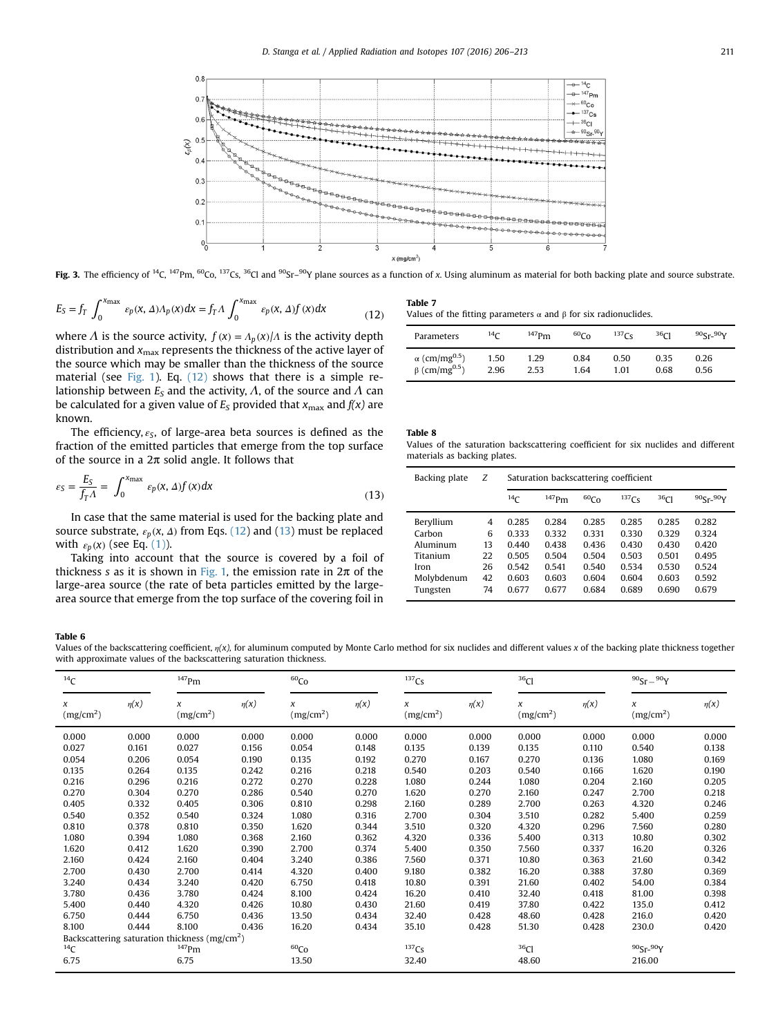<span id="page-5-0"></span>

Fig. 3. The efficiency of <sup>14</sup>C, <sup>147</sup>Pm, <sup>60</sup>Co, <sup>137</sup>Cs, <sup>36</sup>Cl and <sup>90</sup>Sr–<sup>90</sup>Y plane sources as a function of x. Using aluminum as material for both backing plate and source substrate.

$$
E_S = f_T \int_0^{x_{\text{max}}} \varepsilon_p(x, \Delta) \Lambda_p(x) dx = f_T \Lambda \int_0^{x_{\text{max}}} \varepsilon_p(x, \Delta) f(x) dx \tag{12}
$$

where  $\Lambda$  is the source activity,  $f(x) = \Lambda_p(x) / \Lambda$  is the activity depth distribution and  $x_{\text{max}}$  represents the thickness of the active layer of the source which may be smaller than the thickness of the source material (see [Fig. 1\)](#page-1-0). Eq. [\(12\)](#page-4-0) shows that there is a simple relationship between  $E_S$  and the activity,  $\Lambda$ , of the source and  $\Lambda$  can be calculated for a given value of  $E<sub>S</sub>$  provided that  $x<sub>max</sub>$  and  $f(x)$  are known.

The efficiency, *εS*, of large-area beta sources is defined as the fraction of the emitted particles that emerge from the top surface of the source in a  $2\pi$  solid angle. It follows that

$$
\varepsilon_{\rm S} = \frac{E_{\rm S}}{f_{\rm T} \Lambda} = \int_0^{x_{\rm max}} \varepsilon_p(x, \Delta) f(x) dx \tag{13}
$$

In case that the same material is used for the backing plate and source substrate,  $\varepsilon_p$ ( $x$ ,  $\Delta$ ) from Eqs. [\(12\)](#page-4-0) and (13) must be replaced with  $\varepsilon_p(x)$  (see Eq. [\(1\)\)](#page-1-0).

Taking into account that the source is covered by a foil of thickness s as it is shown in [Fig. 1](#page-1-0), the emission rate in  $2\pi$  of the large-area source (the rate of beta particles emitted by the largearea source that emerge from the top surface of the covering foil in

Table 7 Values of the fitting parameters  $\alpha$  and  $\beta$  for six radionuclides.

| Parameters                       | 14 <sub>C</sub> | $^{147}$ Pm | $^{60}Co$ | 137C <sub>c</sub> | 36 <sub>Cl</sub> | $90$ Sr- $90$ Y |
|----------------------------------|-----------------|-------------|-----------|-------------------|------------------|-----------------|
| $\alpha$ (cm/mg <sup>0.5</sup> ) | 1.50            | 1.29        | 0.84      | 0.50              | 0.35             | 0.26            |
| $\beta$ (cm/mg <sup>0.5</sup> )  | 2.96            | 2.53        | 1.64      | 1.01              | 0.68             | 0.56            |

## Table 8

Values of the saturation backscattering coefficient for six nuclides and different materials as backing plates.

| Backing plate | Ζ  | Saturation backscattering coefficient |          |                  |                   |                  |            |  |  |  |
|---------------|----|---------------------------------------|----------|------------------|-------------------|------------------|------------|--|--|--|
|               |    | 14 <sub>C</sub>                       | $147$ Pm | 60C <sub>O</sub> | 137C <sub>S</sub> | 36 <sub>Cl</sub> | $905r-90Y$ |  |  |  |
| Beryllium     | 4  | 0.285                                 | 0.284    | 0.285            | 0.285             | 0.285            | 0.282      |  |  |  |
| Carbon        | 6  | 0.333                                 | 0.332    | 0.331            | 0.330             | 0.329            | 0.324      |  |  |  |
| Aluminum      | 13 | 0.440                                 | 0.438    | 0.436            | 0.430             | 0.430            | 0.420      |  |  |  |
| Titanium      | 22 | 0.505                                 | 0.504    | 0.504            | 0.503             | 0.501            | 0.495      |  |  |  |
| Iron          | 26 | 0.542                                 | 0.541    | 0.540            | 0.534             | 0.530            | 0.524      |  |  |  |
| Molybdenum    | 42 | 0.603                                 | 0.603    | 0.604            | 0.604             | 0.603            | 0.592      |  |  |  |
| Tungsten      | 74 | 0.677                                 | 0.677    | 0.684            | 0.689             | 0.690            | 0.679      |  |  |  |

#### Table 6

Values of the backscattering coefficient,  $\eta(x)$ , for aluminum computed by Monte Carlo method for six nuclides and different values x of the backing plate thickness together with approximate values of the backscattering saturation thickness.

| $^{14}C$                        |           | $^{147}$ Pm                                      |           | 60 <sub>Co</sub>           |           | $137$ Cs                   |           | 36 <sub>Cl</sub>           |           | $90{\rm Sr} - 90{\rm Y}$   |           |
|---------------------------------|-----------|--------------------------------------------------|-----------|----------------------------|-----------|----------------------------|-----------|----------------------------|-----------|----------------------------|-----------|
| $\chi$<br>(mg/cm <sup>2</sup> ) | $\eta(x)$ | x<br>(mg/cm <sup>2</sup> )                       | $\eta(x)$ | x<br>(mg/cm <sup>2</sup> ) | $\eta(x)$ | x<br>(mg/cm <sup>2</sup> ) | $\eta(x)$ | x<br>(mg/cm <sup>2</sup> ) | $\eta(x)$ | x<br>(mg/cm <sup>2</sup> ) | $\eta(x)$ |
| 0.000                           | 0.000     | 0.000                                            | 0.000     | 0.000                      | 0.000     | 0.000                      | 0.000     | 0.000                      | 0.000     | 0.000                      | 0.000     |
| 0.027                           | 0.161     | 0.027                                            | 0.156     | 0.054                      | 0.148     | 0.135                      | 0.139     | 0.135                      | 0.110     | 0.540                      | 0.138     |
| 0.054                           | 0.206     | 0.054                                            | 0.190     | 0.135                      | 0.192     | 0.270                      | 0.167     | 0.270                      | 0.136     | 1.080                      | 0.169     |
| 0.135                           | 0.264     | 0.135                                            | 0.242     | 0.216                      | 0.218     | 0.540                      | 0.203     | 0.540                      | 0.166     | 1.620                      | 0.190     |
| 0.216                           | 0.296     | 0.216                                            | 0.272     | 0.270                      | 0.228     | 1.080                      | 0.244     | 1.080                      | 0.204     | 2.160                      | 0.205     |
| 0.270                           | 0.304     | 0.270                                            | 0.286     | 0.540                      | 0.270     | 1.620                      | 0.270     | 2.160                      | 0.247     | 2.700                      | 0.218     |
| 0.405                           | 0.332     | 0.405                                            | 0.306     | 0.810                      | 0.298     | 2.160                      | 0.289     | 2.700                      | 0.263     | 4.320                      | 0.246     |
| 0.540                           | 0.352     | 0.540                                            | 0.324     | 1.080                      | 0.316     | 2.700                      | 0.304     | 3.510                      | 0.282     | 5.400                      | 0.259     |
| 0.810                           | 0.378     | 0.810                                            | 0.350     | 1.620                      | 0.344     | 3.510                      | 0.320     | 4.320                      | 0.296     | 7.560                      | 0.280     |
| 1.080                           | 0.394     | 1.080                                            | 0.368     | 2.160                      | 0.362     | 4.320                      | 0.336     | 5.400                      | 0.313     | 10.80                      | 0.302     |
| 1.620                           | 0.412     | 1.620                                            | 0.390     | 2.700                      | 0.374     | 5.400                      | 0.350     | 7.560                      | 0.337     | 16.20                      | 0.326     |
| 2.160                           | 0.424     | 2.160                                            | 0.404     | 3.240                      | 0.386     | 7.560                      | 0.371     | 10.80                      | 0.363     | 21.60                      | 0.342     |
| 2.700                           | 0.430     | 2.700                                            | 0.414     | 4.320                      | 0.400     | 9.180                      | 0.382     | 16.20                      | 0.388     | 37.80                      | 0.369     |
| 3.240                           | 0.434     | 3.240                                            | 0.420     | 6.750                      | 0.418     | 10.80                      | 0.391     | 21.60                      | 0.402     | 54.00                      | 0.384     |
| 3.780                           | 0.436     | 3.780                                            | 0.424     | 8.100                      | 0.424     | 16.20                      | 0.410     | 32.40                      | 0.418     | 81.00                      | 0.398     |
| 5.400                           | 0.440     | 4.320                                            | 0.426     | 10.80                      | 0.430     | 21.60                      | 0.419     | 37.80                      | 0.422     | 135.0                      | 0.412     |
| 6.750                           | 0.444     | 6.750                                            | 0.436     | 13.50                      | 0.434     | 32.40                      | 0.428     | 48.60                      | 0.428     | 216.0                      | 0.420     |
| 8.100                           | 0.444     | 8.100                                            | 0.436     | 16.20                      | 0.434     | 35.10                      | 0.428     | 51.30                      | 0.428     | 230.0                      | 0.420     |
|                                 |           | Backscattering saturation thickness ( $mg/cm2$ ) |           |                            |           |                            |           |                            |           |                            |           |
| $^{14}$ C                       |           | $^{147}$ Pm                                      |           | 60 <sub>Co</sub>           |           | $137$ Cs                   |           | $36$ Cl                    |           | $90Sr - 90Y$               |           |
| 6.75                            |           | 6.75                                             |           | 13.50                      |           | 32.40                      |           | 48.60                      |           | 216.00                     |           |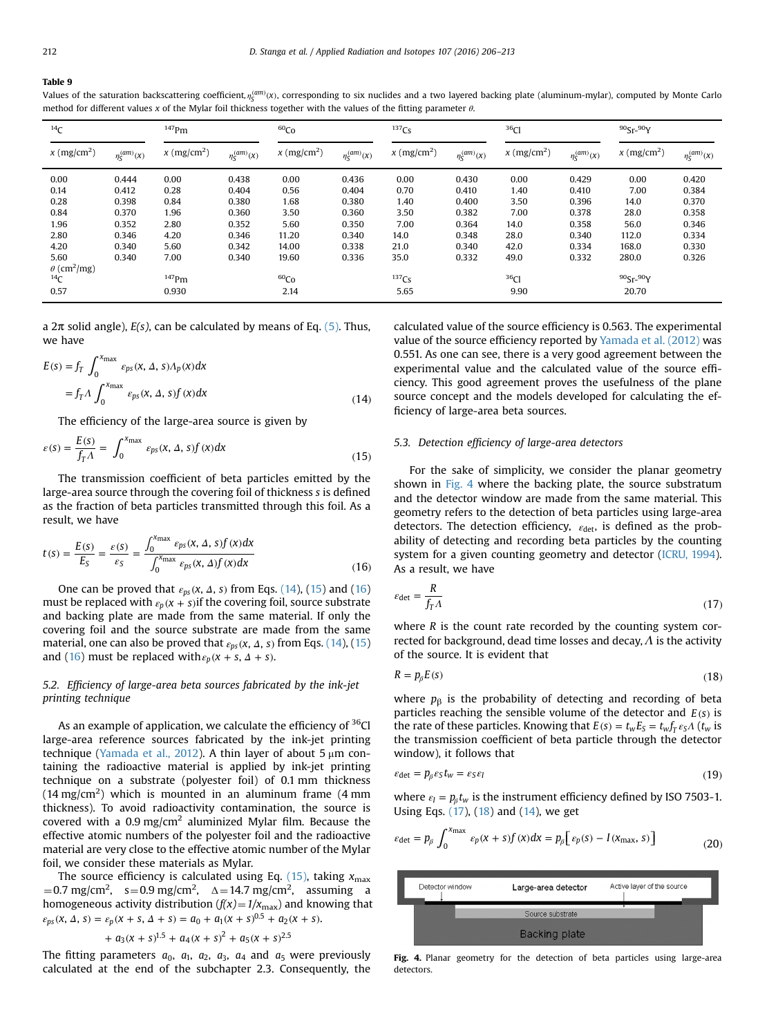#### <span id="page-6-0"></span>Table 9

| $^{14}C$                       |                                 | $147$ Pm                |                                | 60 <sub>Co</sub>        |                                 | 137C <sub>S</sub>     |                    | 36 <sub>Cl</sub>        |                                 | $90$ Sr- $90$ Y       |                               |
|--------------------------------|---------------------------------|-------------------------|--------------------------------|-------------------------|---------------------------------|-----------------------|--------------------|-------------------------|---------------------------------|-----------------------|-------------------------------|
| $x \text{ (mg/cm}^2)$          | $\eta^{(am)}_S(\boldsymbol{x})$ | $x \, (\text{mg/cm}^2)$ | $\eta_{\mathcal{S}}^{(am)}(x)$ | $x \, (\text{mg/cm}^2)$ | $\eta^{(am)}_S(\boldsymbol{x})$ | $x \text{ (mg/cm}^2)$ | $\eta^{(am)}_S(x)$ | $x \, (\text{mg/cm}^2)$ | $\eta^{(am)}_S(\boldsymbol{x})$ | $x \text{ (mg/cm}^2)$ | $\eta_{\mathsf{S}}^{(am)}(x)$ |
| 0.00                           | 0.444                           | 0.00                    | 0.438                          | 0.00                    | 0.436                           | 0.00                  | 0.430              | 0.00                    | 0.429                           | 0.00                  | 0.420                         |
| 0.14                           | 0.412                           | 0.28                    | 0.404                          | 0.56                    | 0.404                           | 0.70                  | 0.410              | 1.40                    | 0.410                           | 7.00                  | 0.384                         |
| 0.28                           | 0.398                           | 0.84                    | 0.380                          | 1.68                    | 0.380                           | 1.40                  | 0.400              | 3.50                    | 0.396                           | 14.0                  | 0.370                         |
| 0.84                           | 0.370                           | 1.96                    | 0.360                          | 3.50                    | 0.360                           | 3.50                  | 0.382              | 7.00                    | 0.378                           | 28.0                  | 0.358                         |
| 1.96                           | 0.352                           | 2.80                    | 0.352                          | 5.60                    | 0.350                           | 7.00                  | 0.364              | 14.0                    | 0.358                           | 56.0                  | 0.346                         |
| 2.80                           | 0.346                           | 4.20                    | 0.346                          | 11.20                   | 0.340                           | 14.0                  | 0.348              | 28.0                    | 0.340                           | 112.0                 | 0.334                         |
| 4.20                           | 0.340                           | 5.60                    | 0.342                          | 14.00                   | 0.338                           | 21.0                  | 0.340              | 42.0                    | 0.334                           | 168.0                 | 0.330                         |
| 5.60                           | 0.340                           | 7.00                    | 0.340                          | 19.60                   | 0.336                           | 35.0                  | 0.332              | 49.0                    | 0.332                           | 280.0                 | 0.326                         |
| $\theta$ (cm <sup>2</sup> /mg) |                                 |                         |                                |                         |                                 |                       |                    |                         |                                 |                       |                               |
| $^{14}$ C                      |                                 | $147$ Pm                |                                | 60 <sub>Co</sub>        |                                 | $137$ Cs              |                    | 36 <sub>Cl</sub>        |                                 | $90$ Sr- $90$ Y       |                               |
| 0.57                           |                                 | 0.930                   |                                | 2.14                    |                                 | 5.65                  |                    | 9.90                    |                                 | 20.70                 |                               |

Values of the saturation backscattering coefficient,  $\eta_{\sf s}^{\sf (arm)}(x)$ , corresponding to six nuclides and a two layered backing plate (aluminum-mylar), computed by Monte Carlo method for different values x of the Mylar foil thickness together with the values of the fitting parameter  $\theta$ .

a  $2\pi$  solid angle),  $E(s)$ , can be calculated by means of Eq. [\(5\)](#page-2-0). Thus, we have

$$
E(s) = f_T \int_0^{x_{\text{max}}} \varepsilon_{ps}(x, \Delta, s) \Lambda_p(x) dx
$$
  
=  $f_T \Lambda \int_0^{x_{\text{max}}} \varepsilon_{ps}(x, \Delta, s) f(x) dx$  (14)

The efficiency of the large-area source is given by

$$
\varepsilon(s) = \frac{E(s)}{f_T \Lambda} = \int_0^{x_{\text{max}}} \varepsilon_{ps}(x, \Delta, s) f(x) dx \tag{15}
$$

The transmission coefficient of beta particles emitted by the large-area source through the covering foil of thickness s is defined as the fraction of beta particles transmitted through this foil. As a result, we have

$$
t(s) = \frac{E(s)}{E_S} = \frac{\varepsilon(s)}{\varepsilon_S} = \frac{\int_0^{x_{\text{max}}} \varepsilon_{ps}(x, \Delta, s) f(x) dx}{\int_0^{x_{\text{max}}} \varepsilon_{ps}(x, \Delta) f(x) dx}
$$
(16)

One can be proved that *εps* (*x s* , , *Δ* ) from Eqs. (14), (15) and (16) must be replaced with  $\varepsilon_p(x + s)$  if the covering foil, source substrate and backing plate are made from the same material. If only the covering foil and the source substrate are made from the same material, one can also be proved that  $\varepsilon_{ps}(x, \Delta, s)$  from Eqs. (14), (15) and (16) must be replaced with  $\varepsilon_p$  ( $x + s$ ,  $\Delta + s$ ).

# 5.2. Efficiency of large-area beta sources fabricated by the ink-jet printing technique

As an example of application, we calculate the efficiency of <sup>36</sup>Cl large-area reference sources fabricated by the ink-jet printing technique [\(Yamada et al., 2012](#page-7-0)). A thin layer of about 5  $\mu$ m containing the radioactive material is applied by ink-jet printing technique on a substrate (polyester foil) of 0.1 mm thickness (14 mg/cm<sup>2</sup>) which is mounted in an aluminum frame (4 mm thickness). To avoid radioactivity contamination, the source is covered with a  $0.9 \text{ mg/cm}^2$  aluminized Mylar film. Because the effective atomic numbers of the polyester foil and the radioactive material are very close to the effective atomic number of the Mylar foil, we consider these materials as Mylar.

The source efficiency is calculated using Eq. (15), taking  $x_{\text{max}}$  $\mu = 0.7$  mg/cm<sup>2</sup>, s=0.9 mg/cm<sup>2</sup>,  $\Delta = 14.7$  mg/cm<sup>2</sup>, assuming a homogeneous activity distribution  $(f(x)) = 1/x_{\text{max}}$  and knowing that  $\varepsilon_{ps}(x, \Delta, s) = \varepsilon_p(x + s, \Delta + s) = a_0 + a_1(x + s)^{0.5} + a_2(x + s).$ 

$$
+ a_3(x + s)^{1.5} + a_4(x + s)^2 + a_5(x + s)^{2.5}
$$

The fitting parameters  $a_0$ ,  $a_1$ ,  $a_2$ ,  $a_3$ ,  $a_4$  and  $a_5$  were previously calculated at the end of the subchapter 2.3. Consequently, the calculated value of the source efficiency is 0.563. The experimental value of the source efficiency reported by [Yamada et al. \(2012\)](#page-7-0) was 0.551. As one can see, there is a very good agreement between the experimental value and the calculated value of the source efficiency. This good agreement proves the usefulness of the plane source concept and the models developed for calculating the efficiency of large-area beta sources.

## 5.3. Detection efficiency of large-area detectors

For the sake of simplicity, we consider the planar geometry shown in Fig. 4 where the backing plate, the source substratum and the detector window are made from the same material. This geometry refers to the detection of beta particles using large-area detectors. The detection efficiency,  $ε<sub>det</sub>$ , is defined as the probability of detecting and recording beta particles by the counting system for a given counting geometry and detector ([ICRU, 1994\)](#page-7-0). As a result, we have

$$
\varepsilon_{\text{det}} = \frac{R}{f_T \Lambda} \tag{17}
$$

where  $R$  is the count rate recorded by the counting system corrected for background, dead time losses and decay,  $\Lambda$  is the activity of the source. It is evident that

$$
R = p_{\beta} E(\mathbf{s}) \tag{18}
$$

where  $p<sub>\beta</sub>$  is the probability of detecting and recording of beta particles reaching the sensible volume of the detector and  $E(s)$  is the rate of these particles. Knowing that  $E(s) = t_w E_s = t_w f_T \epsilon_s A$  ( $t_w$  is the transmission coefficient of beta particle through the detector window), it follows that

$$
\varepsilon_{\text{det}} = p_{\beta} \varepsilon_{\mathsf{S}} t_{\mathsf{w}} = \varepsilon_{\mathsf{S}} \varepsilon_{\mathsf{I}} \tag{19}
$$

where  $\varepsilon_I = p_\beta t_w$  is the instrument efficiency defined by ISO 7503-1. Using Eqs. (17), (18) and (14), we get

$$
\varepsilon_{\text{det}} = p_{\beta} \int_0^{x_{\text{max}}} \varepsilon_p(x+s) f(x) dx = p_{\beta} \big[ \varepsilon_p(s) - I(x_{\text{max}}, s) \big]
$$
(20)



Fig. 4. Planar geometry for the detection of beta particles using large-area detectors.